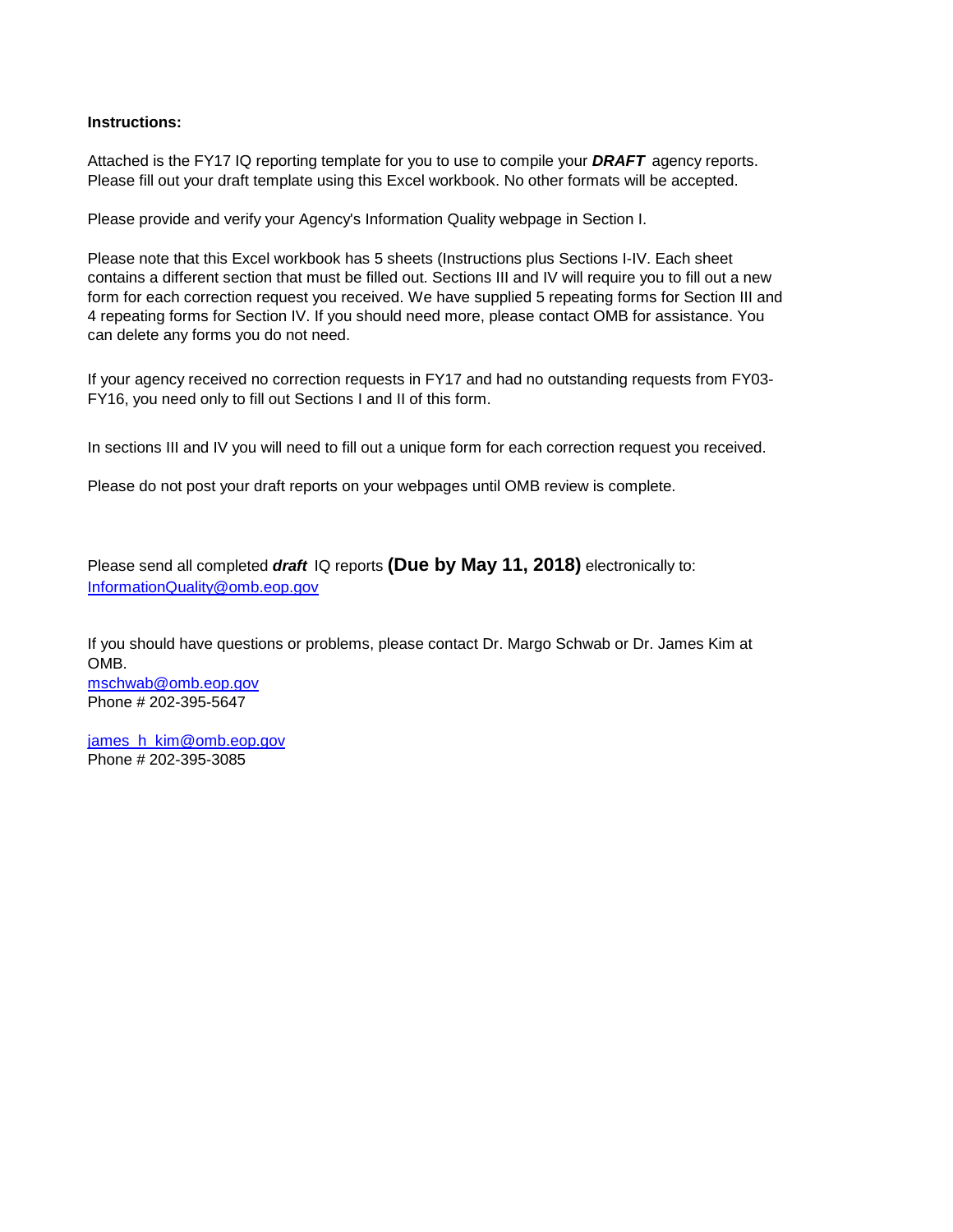## **Instructions:**

Please fill out your draft template using this Excel workbook. No other formats will be accepted. Attached is the FY17 IQ reporting template for you to use to compile your *DRAFT* agency reports.

Please provide and verify your Agency's Information Quality webpage in Section I.

Please note that this Excel workbook has 5 sheets (Instructions plus Sections I-IV. Each sheet contains a different section that must be filled out. Sections III and IV will require you to fill out a new form for each correction request you received. We have supplied 5 repeating forms for Section III and 4 repeating forms for Section IV. If you should need more, please contact OMB for assistance. You can delete any forms you do not need.

If your agency received no correction requests in FY17 and had no outstanding requests from FY03- FY16, you need only to fill out Sections I and II of this form.

In sections III and IV you will need to fill out a unique form for each correction request you received.

Please do not post your draft reports on your webpages until OMB review is complete.

Please send all completed *draft* IQ reports **(Due by May 11, 2018)** electronically to: [InformationQuality@omb.eop.gov](mailto:InformationQuality@omb.eop.gov) 

If you should have questions or problems, please contact Dr. Margo Schwab or Dr. James Kim at OMB. [mschwab@omb.eop.gov](mailto:mschwab@omb.eop.gov) Phone # 202-395-5647

[james\\_h\\_kim@omb.eop.gov](mailto:james_h_kim@omb.eop.gov) Phone # 202-395-3085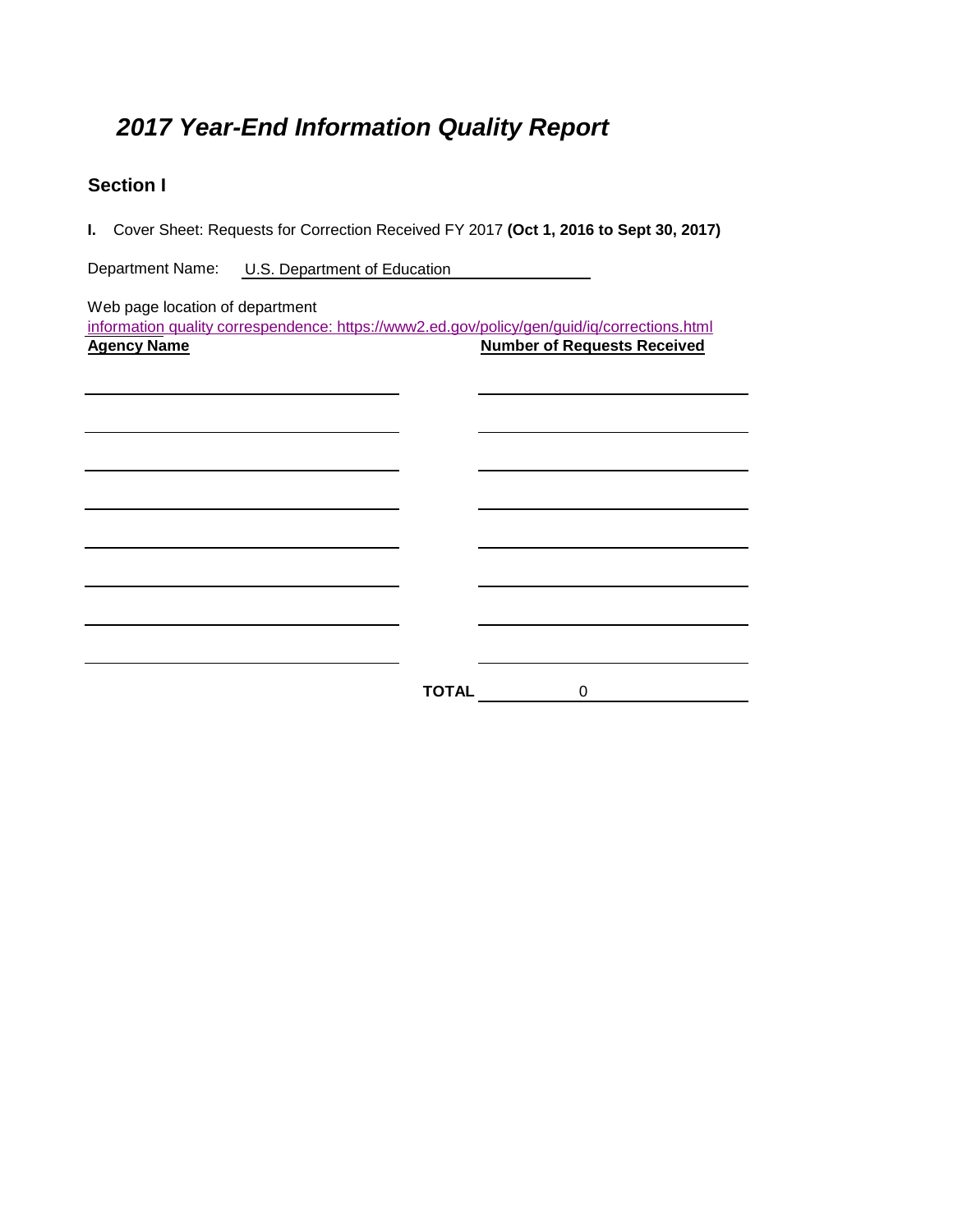## *2017 Year-End Information Quality Report*

## **Section I**

**I.** Cover Sheet: Requests for Correction Received FY 2017 **(Oct 1, 2016 to Sept 30, 2017)** 

| <b>Department Name:</b> | U.S. Department of Education |
|-------------------------|------------------------------|
|                         |                              |

Web page location of department

|                    | information quality correspendence: https://www2.ed.gov/policy/gen/guid/iq/corrections.html |
|--------------------|---------------------------------------------------------------------------------------------|
| <b>Agency Name</b> | <b>Number of Requests Received</b>                                                          |

| <b>TOTAL</b> | $\Omega$ |  |
|--------------|----------|--|